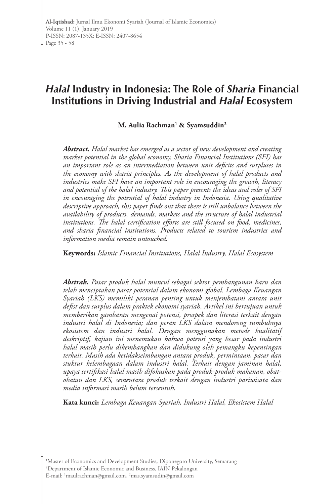# *Halal* **Industry in Indonesia: The Role of** *Sharia* **Financial Institutions in Driving Industrial and** *Halal* **Ecosystem**

### **M. Aulia Rachman1 & Syamsuddin2**

*Abstract. Halal market has emerged as a sector of new development and creating market potential in the global economy. Sharia Financial Institutions (SFI) has an important role as an intermediation between unit deficits and surpluses in the economy with sharia principles. As the development of halal products and industries make SFI have an important role in encouraging the growth, literacy and potential of the halal industry. This paper presents the ideas and roles of SFI in encouraging the potential of halal industry in Indonesia. Using qualitative descriptive approach, this paper finds out that there is still unbalance between the availability of products, demands, markets and the structure of halal industrial institutions. The halal certification efforts are still focused on food, medicines, and sharia financial institutions. Products related to tourism industries and information media remain untouched.* 

**Keywords:** *Islamic Financial Institutions, Halal Industry, Halal Ecosystem*

*Abstrak. Pasar produk halal muncul sebagai sektor pembangunan baru dan telah menciptakan pasar potensial dalam ekonomi global. Lembaga Keuangan Syariah (LKS) memiliki peranan penting untuk menjembatani antara unit defist dan surplus dalam praktek ekonomi syariah. Artikel ini bertujuan untuk memberikan gambaran mengenai potensi, prospek dan literasi terkait dengan industri halal di Indonesia; dan peran LKS dalam mendorong tumbuhnya ekosistem dan industri halal. Dengan menggunakan metode kualitatif deskriptif, kajian ini menemukan bahwa potensi yang besar pada industri halal masih perlu dikembangkan dan didukung oleh pemangku kepentingan terkait. Masih ada ketidakseimbangan antara produk, permintaan, pasar dan stuktur kelembagaan dalam industri halal. Terkait dengan jaminan halal, upaya sertifikasi halal masih difokuskan pada produk-produk makanan, obatobatan dan LKS, sementara produk terkait dengan industri pariwisata dan media informasi masih belum tersentuh.* 

**Kata kunci:** *Lembaga Keuangan Syariah, Industri Halal, Ekosistem Halal* 

1 Master of Economics and Development Studies, Diponegoro University, Semarang

2 Department of Islamic Economic and Business, IAIN Pekalongan E-mail: 1 maulrachman@gmail.com, 2 mas.syamsudin@gmail.com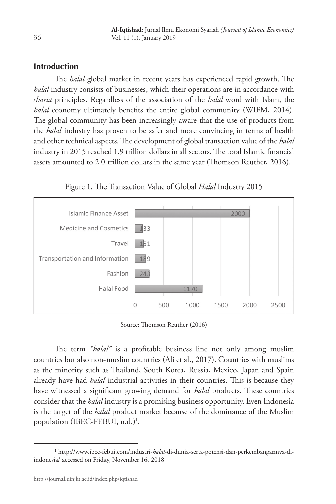## **Introduction**

The *halal* global market in recent years has experienced rapid growth. The *halal* industry consists of businesses, which their operations are in accordance with *sharia* principles. Regardless of the association of the *halal* word with Islam, the *halal* economy ultimately benefits the entire global community (WIFM, 2014). The global community has been increasingly aware that the use of products from the *halal* industry has proven to be safer and more convincing in terms of health and other technical aspects. The development of global transaction value of the *halal* industry in 2015 reached 1.9 trillion dollars in all sectors. The total Islamic financial assets amounted to 2.0 trillion dollars in the same year (Thomson Reuther, 2016).



Figure 1. The Transaction Value of Global *Halal* Industry 2015

Source: Thomson Reuther (2016)

The term *"halal"* is a profitable business line not only among muslim countries but also non-muslim countries (Ali et al., 2017). Countries with muslims as the minority such as Thailand, South Korea, Russia, Mexico, Japan and Spain already have had *halal* industrial activities in their countries. This is because they have witnessed a significant growing demand for *halal* products. These countries consider that the *halal* industry is a promising business opportunity. Even Indonesia is the target of the *halal* product market because of the dominance of the Muslim population (IBEC-FEBUI, n.d.)<sup>1</sup>.

<sup>1</sup> http://www.ibec-febui.com/industri-*halal*-di-dunia-serta-potensi-dan-perkembangannya-diindonesia/ accessed on Friday, November 16, 2018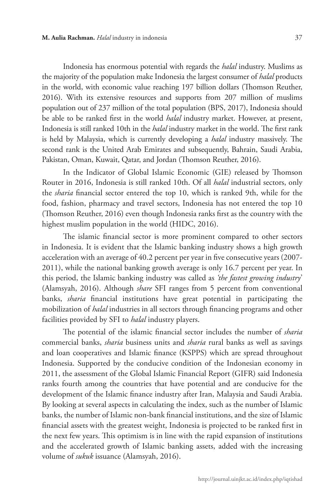Indonesia has enormous potential with regards the *halal* industry. Muslims as the majority of the population make Indonesia the largest consumer of *halal* products in the world, with economic value reaching 197 billion dollars (Thomson Reuther, 2016). With its extensive resources and supports from 207 million of muslims population out of 237 million of the total population (BPS, 2017), Indonesia should be able to be ranked first in the world *halal* industry market. However, at present, Indonesia is still ranked 10th in the *halal* industry market in the world. The first rank is held by Malaysia, which is currently developing a *halal* industry massively. The second rank is the United Arab Emirates and subsequently, Bahrain, Saudi Arabia, Pakistan, Oman, Kuwait, Qatar, and Jordan (Thomson Reuther, 2016).

In the Indicator of Global Islamic Economic (GIE) released by Thomson Router in 2016, Indonesia is still ranked 10th. Of all *halal* industrial sectors, only the *sharia* financial sector entered the top 10, which is ranked 9th, while for the food, fashion, pharmacy and travel sectors, Indonesia has not entered the top 10 (Thomson Reuther, 2016) even though Indonesia ranks first as the country with the highest muslim population in the world (HIDC, 2016).

The islamic financial sector is more prominent compared to other sectors in Indonesia. It is evident that the Islamic banking industry shows a high growth acceleration with an average of 40.2 percent per year in five consecutive years (2007- 2011), while the national banking growth average is only 16.7 percent per year. In this period, the Islamic banking industry was called as *'the fastest growing industry*' (Alamsyah, 2016). Although *share* SFI ranges from 5 percent from conventional banks, *sharia* financial institutions have great potential in participating the mobilization of *halal* industries in all sectors through financing programs and other facilities provided by SFI to *halal* industry players.

The potential of the islamic financial sector includes the number of *sharia* commercial banks, *sharia* business units and *sharia* rural banks as well as savings and loan cooperatives and Islamic finance (KSPPS) which are spread throughout Indonesia. Supported by the conducive condition of the Indonesian economy in 2011, the assessment of the Global Islamic Financial Report (GIFR) said Indonesia ranks fourth among the countries that have potential and are conducive for the development of the Islamic finance industry after Iran, Malaysia and Saudi Arabia. By looking at several aspects in calculating the index, such as the number of Islamic banks, the number of Islamic non-bank financial institutions, and the size of Islamic financial assets with the greatest weight, Indonesia is projected to be ranked first in the next few years. This optimism is in line with the rapid expansion of institutions and the accelerated growth of Islamic banking assets, added with the increasing volume of *sukuk* issuance (Alamsyah, 2016).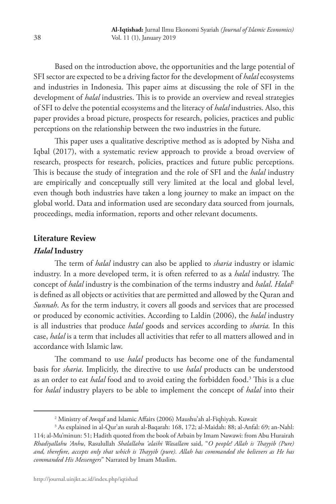Based on the introduction above, the opportunities and the large potential of SFI sector are expected to be a driving factor for the development of *halal* ecosystems and industries in Indonesia. This paper aims at discussing the role of SFI in the development of *halal* industries. This is to provide an overview and reveal strategies of SFI to delve the potential ecosystems and the literacy of *halal* industries. Also, this paper provides a broad picture, prospects for research, policies, practices and public perceptions on the relationship between the two industries in the future.

This paper uses a qualitative descriptive method as is adopted by Nisha and Iqbal (2017), with a systematic review approach to provide a broad overview of research, prospects for research, policies, practices and future public perceptions. This is because the study of integration and the role of SFI and the *halal* industry are empirically and conceptually still very limited at the local and global level, even though both industries have taken a long journey to make an impact on the global world. Data and information used are secondary data sourced from journals, proceedings, media information, reports and other relevant documents.

## **Literature Review**

### *Halal* **Industry**

The term of *halal* industry can also be applied to *sharia* industry or islamic industry. In a more developed term, it is often referred to as a *halal* industry. The concept of *halal* industry is the combination of the terms industry and *halal*. *Halal*<sup>2</sup> is defined as all objects or activities that are permitted and allowed by the Quran and *Sunnah*. As for the term industry, it covers all goods and services that are processed or produced by economic activities. According to Laldin (2006), the *halal* industry is all industries that produce *halal* goods and services according to *sharia.* In this case, *halal* is a term that includes all activities that refer to all matters allowed and in accordance with Islamic law.

The command to use *halal* products has become one of the fundamental basis for *sharia*. Implicitly, the directive to use *halal* products can be understood as an order to eat *halal* food and to avoid eating the forbidden food.3 This is a clue for *halal* industry players to be able to implement the concept of *halal* into their

<sup>2</sup> Ministry of Awqaf and Islamic Affairs (2006) Maushu'ah al-Fiqhiyah. Kuwait

<sup>3</sup> As explained in al-Qur'an surah al-Baqarah: 168, 172; al-Maidah: 88; al-Anfal: 69; an-Nahl: 114; al-Mu'minun: 51; Hadith quoted from the book of Arbain by Imam Nawawi: from Abu Hurairah *Rhadiyallahu 'Anhu*, Rasulullah *Shalallahu 'alaihi Wasallam* said, "*O people! Allah is Thayyib (Pure) and, therefore, accepts only that which is Thayyib (pure). Allah has commanded the believers as He has commanded His Messengers*" Narrated by Imam Muslim.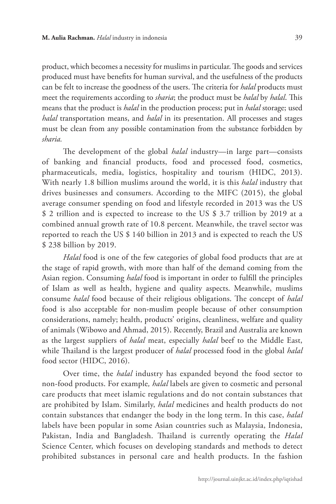product, which becomes a necessity for muslims in particular. The goods and services produced must have benefits for human survival, and the usefulness of the products can be felt to increase the goodness of the users. The criteria for *halal* products must meet the requirements according to *sharia*; the product must be *halal* by *halal*. This means that the product is *halal* in the production process; put in *halal* storage; used *halal* transportation means, and *halal* in its presentation. All processes and stages must be clean from any possible contamination from the substance forbidden by *sharia.*

The development of the global *halal* industry—in large part—consists of banking and financial products, food and processed food, cosmetics, pharmaceuticals, media, logistics, hospitality and tourism (HIDC, 2013). With nearly 1.8 billion muslims around the world, it is this *halal* industry that drives businesses and consumers. According to the MIFC (2015), the global average consumer spending on food and lifestyle recorded in 2013 was the US \$ 2 trillion and is expected to increase to the US \$ 3.7 trillion by 2019 at a combined annual growth rate of 10.8 percent. Meanwhile, the travel sector was reported to reach the US \$ 140 billion in 2013 and is expected to reach the US \$ 238 billion by 2019.

*Halal* food is one of the few categories of global food products that are at the stage of rapid growth, with more than half of the demand coming from the Asian region. Consuming *halal* food is important in order to fulfill the principles of Islam as well as health, hygiene and quality aspects. Meanwhile, muslims consume *halal* food because of their religious obligations. The concept of *halal* food is also acceptable for non-muslim people because of other consumption considerations, namely; health, products' origins, cleanliness, welfare and quality of animals (Wibowo and Ahmad, 2015). Recently, Brazil and Australia are known as the largest suppliers of *halal* meat, especially *halal* beef to the Middle East, while Thailand is the largest producer of *halal* processed food in the global *halal* food sector (HIDC, 2016).

Over time, the *halal* industry has expanded beyond the food sector to non-food products. For example*, halal* labels are given to cosmetic and personal care products that meet islamic regulations and do not contain substances that are prohibited by Islam. Similarly, *halal* medicines and health products do not contain substances that endanger the body in the long term. In this case, *halal* labels have been popular in some Asian countries such as Malaysia, Indonesia, Pakistan, India and Bangladesh. Thailand is currently operating the *Halal* Science Center, which focuses on developing standards and methods to detect prohibited substances in personal care and health products. In the fashion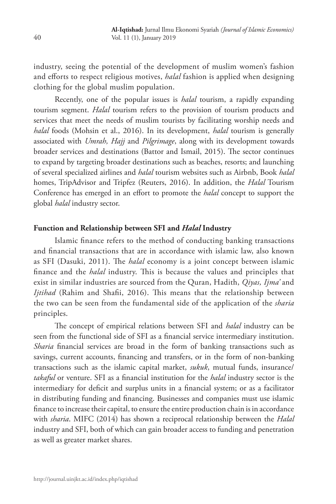industry, seeing the potential of the development of muslim women's fashion and efforts to respect religious motives, *halal* fashion is applied when designing clothing for the global muslim population.

Recently, one of the popular issues is *halal* tourism, a rapidly expanding tourism segment. *Halal* tourism refers to the provision of tourism products and services that meet the needs of muslim tourists by facilitating worship needs and *halal* foods (Mohsin et al., 2016). In its development, *halal* tourism is generally associated with *Umrah, Hajj* and *Pilgrimage*, along with its development towards broader services and destinations (Battor and Ismail, 2015). The sector continues to expand by targeting broader destinations such as beaches, resorts; and launching of several specialized airlines and *halal* tourism websites such as Airbnb, Book *halal*  homes, TripAdvisor and Tripfez (Reuters, 2016). In addition, the *Halal* Tourism Conference has emerged in an effort to promote the *halal* concept to support the global *halal* industry sector.

### **Function and Relationship between SFI and** *Halal* **Industry**

Islamic finance refers to the method of conducting banking transactions and financial transactions that are in accordance with islamic law, also known as SFI (Dasuki, 2011). The *halal* economy is a joint concept between islamic finance and the *halal* industry. This is because the values and principles that exist in similar industries are sourced from the Quran, Hadith, *Qiyas, Ijma'* and *Ijtihad* (Rahim and Shafii, 2016). This means that the relationship between the two can be seen from the fundamental side of the application of the *sharia* principles.

The concept of empirical relations between SFI and *halal* industry can be seen from the functional side of SFI as a financial service intermediary institution. *Sharia* financial services are broad in the form of banking transactions such as savings, current accounts, financing and transfers, or in the form of non-banking transactions such as the islamic capital market, *sukuk*, mutual funds, insurance/ *takaful* or venture. SFI as a financial institution for the *halal* industry sector is the intermediary for deficit and surplus units in a financial system; or as a facilitator in distributing funding and financing. Businesses and companies must use islamic finance to increase their capital, to ensure the entire production chain is in accordance with *sharia*. MIFC (2014) has shown a reciprocal relationship between the *Halal* industry and SFI, both of which can gain broader access to funding and penetration as well as greater market shares.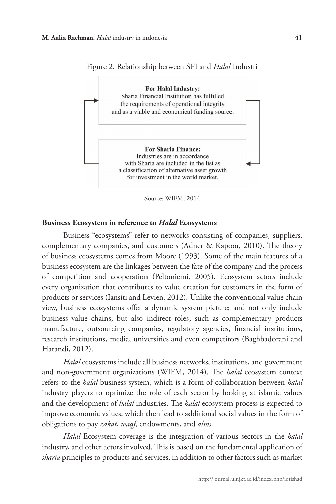



Source: WIFM, 2014

### **Business Ecosystem in reference to** *Halal* **Ecosystems**

Business "ecosystems" refer to networks consisting of companies, suppliers, complementary companies, and customers (Adner & Kapoor, 2010). The theory of business ecosystems comes from Moore (1993). Some of the main features of a business ecosystem are the linkages between the fate of the company and the process of competition and cooperation (Peltoniemi, 2005). Ecosystem actors include every organization that contributes to value creation for customers in the form of products or services (Iansiti and Levien, 2012). Unlike the conventional value chain view, business ecosystems offer a dynamic system picture; and not only include business value chains, but also indirect roles, such as complementary products manufacture, outsourcing companies, regulatory agencies, financial institutions, research institutions, media, universities and even competitors (Baghbadorani and Harandi, 2012).

*Halal* ecosystems include all business networks, institutions, and government and non-government organizations (WIFM, 2014). The *halal* ecosystem context refers to the *halal* business system, which is a form of collaboration between *halal*  industry players to optimize the role of each sector by looking at islamic values and the development of *halal* industries. The *halal* ecosystem process is expected to improve economic values, which then lead to additional social values in the form of obligations to pay *zakat*, *waqf,* endowments, and *alms*.

*Halal* Ecosystem coverage is the integration of various sectors in the *halal* industry, and other actors involved. This is based on the fundamental application of *sharia* principles to products and services, in addition to other factors such as market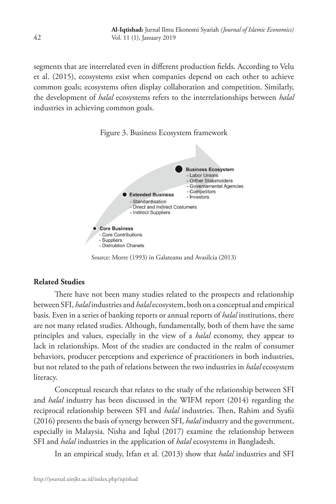segments that are interrelated even in different production fields. According to Velu et al. (2015), ecosystems exist when companies depend on each other to achieve common goals; ecosystems often display collaboration and competition. Similarly, the development of *halal* ecosystems refers to the interrelationships between *halal* industries in achieving common goals.

![](_page_7_Figure_2.jpeg)

![](_page_7_Figure_3.jpeg)

Source: Morre (1993) in Galateanu and Avasilcia (2013)

## **Related Studies**

There have not been many studies related to the prospects and relationship between SFI, *halal* industries and *halal* ecosystem, both on a conceptual and empirical basis. Even in a series of banking reports or annual reports of *halal* institutions, there are not many related studies. Although, fundamentally, both of them have the same principles and values, especially in the view of a *halal* economy, they appear to lack in relationships. Most of the studies are conducted in the realm of consumer behaviors, producer perceptions and experience of practitioners in both industries, but not related to the path of relations between the two industries in *halal* ecosystem literacy.

Conceptual research that relates to the study of the relationship between SFI and *halal* industry has been discussed in the WIFM report (2014) regarding the reciprocal relationship between SFI and *halal* industries. Then, Rahim and Syafii (2016) presents the basis of synergy between SFI, *halal* industry and the government, especially in Malaysia. Nisha and Iqbal (2017) examine the relationship between SFI and *halal* industries in the application of *halal* ecosystems in Bangladesh.

In an empirical study, Irfan et al. (2013) show that *halal* industries and SFI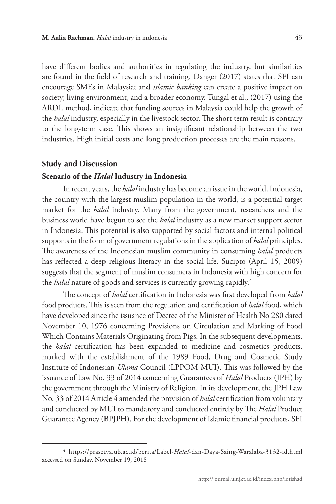have different bodies and authorities in regulating the industry, but similarities are found in the field of research and training. Danger (2017) states that SFI can encourage SMEs in Malaysia; and *islamic banking* can create a positive impact on society, living environment, and a broader economy. Tungal et al., (2017) using the ARDL method, indicate that funding sources in Malaysia could help the growth of the *halal* industry, especially in the livestock sector. The short term result is contrary to the long-term case. This shows an insignificant relationship between the two industries. High initial costs and long production processes are the main reasons.

#### **Study and Discussion**

#### **Scenario of the** *Halal* **Industry in Indonesia**

In recent years, the *halal* industry has become an issue in the world. Indonesia, the country with the largest muslim population in the world, is a potential target market for the *halal* industry. Many from the government, researchers and the business world have begun to see the *halal* industry as a new market support sector in Indonesia. This potential is also supported by social factors and internal political supports in the form of government regulations in the application of *halal* principles. The awareness of the Indonesian muslim community in consuming *halal* products has reflected a deep religious literacy in the social life. Sucipto (April 15, 2009) suggests that the segment of muslim consumers in Indonesia with high concern for the *halal* nature of goods and services is currently growing rapidly.<sup>4</sup>

The concept of *halal* certification in Indonesia was first developed from *halal* food products. This is seen from the regulation and certification of *halal* food, which have developed since the issuance of Decree of the Minister of Health No 280 dated November 10, 1976 concerning Provisions on Circulation and Marking of Food Which Contains Materials Originating from Pigs. In the subsequent developments, the *halal* certification has been expanded to medicine and cosmetics products, marked with the establishment of the 1989 Food, Drug and Cosmetic Study Institute of Indonesian *Ulama* Council (LPPOM-MUI). This was followed by the issuance of Law No. 33 of 2014 concerning Guarantees of *Halal* Products (JPH) by the government through the Ministry of Religion. In its development, the JPH Law No. 33 of 2014 Article 4 amended the provision of *halal* certification from voluntary and conducted by MUI to mandatory and conducted entirely by The *Halal* Product Guarantee Agency (BPJPH). For the development of Islamic financial products, SFI

<sup>4</sup> https://prasetya.ub.ac.id/berita/Label-*Halal*-dan-Daya-Saing-Waralaba-3132-id.html accessed on Sunday, November 19, 2018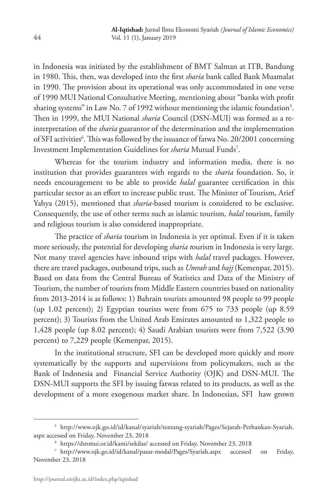in Indonesia was initiated by the establishment of BMT Salman at ITB, Bandung in 1980. This, then, was developed into the first *sharia* bank called Bank Muamalat in 1990. The provision about its operational was only accommodated in one verse of 1990 MUI National Consultative Meeting, mentioning about "banks with profit sharing systems" in Law No. 7 of 1992 without mentioning the islamic foundation<sup>5</sup>. Then in 1999, the MUI National *sharia* Council (DSN-MUI) was formed as a reinterpretation of the *sharia* guarantor of the determination and the implementation of SFI activities<sup>6</sup>. This was followed by the issuance of fatwa No. 20/2001 concerning Investment Implementation Guidelines for *sharia* Mutual Funds7 .

Whereas for the tourism industry and information media, there is no institution that provides guarantees with regards to the *sharia* foundation. So, it needs encouragement to be able to provide *halal* guarantee certification in this particular sector as an effort to increase public trust. The Minister of Tourism, Arief Yahya (2015), mentioned that *sharia-*based tourism is considered to be exclusive. Consequently, the use of other terms such as islamic tourism, *halal* tourism, family and religious tourism is also considered inappropriate.

The practice of *sharia* tourism in Indonesia is yet optimal. Even if it is taken more seriously, the potential for developing *sharia t*ourism in Indonesia is very large. Not many travel agencies have inbound trips with *halal* travel packages. However, there are travel packages, outbound trips, such as *Umrah* and *hajj* (Kemenpar, 2015). Based on data from the Central Bureau of Statistics and Data of the Ministry of Tourism, the number of tourists from Middle Eastern countries based on nationality from 2013-2014 is as follows: 1) Bahrain tourists amounted 98 people to 99 people (up 1.02 percent); 2) Egyptian tourists were from 675 to 733 people (up 8.59 percent); 3) Tourists from the United Arab Emirates amounted to 1,322 people to 1,428 people (up 8.02 percent); 4) Saudi Arabian tourists were from 7,522 (3.90 percent) to 7,229 people (Kemenpar, 2015).

In the institutional structure, SFI can be developed more quickly and more systematically by the supports and supervisions from policymakers, such as the Bank of Indonesia and Financial Service Authority (OJK) and DSN-MUI. The DSN-MUI supports the SFI by issuing fatwas related to its products, as well as the development of a more exogenous market share. In Indonesian, SFI haw grown

<sup>5</sup> http://www.ojk.go.id/id/kanal/syariah/tentang-syariah/Pages/Sejarah-Perbankan-Syariah. aspx accessed on Friday, November 23, 2018

<sup>6</sup> https://dsnmui.or.id/kami/sekilas/ accessed on Friday, November 23, 2018

<sup>7</sup> http://www.ojk.go.id/id/kanal/pasar-modal/Pages/Syariah.aspx accessed on Friday, November 23, 2018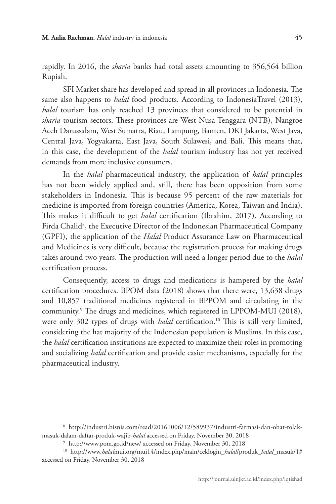rapidly. In 2016, the *sharia* banks had total assets amounting to 356,564 billion Rupiah.

SFI Market share has developed and spread in all provinces in Indonesia. The same also happens to *halal* food products. According to IndonesiaTravel (2013), *halal* tourism has only reached 13 provinces that considered to be potential in *sharia* tourism sectors. These provinces are West Nusa Tenggara (NTB), Nangroe Aceh Darussalam, West Sumatra, Riau, Lampung, Banten, DKI Jakarta, West Java, Central Java, Yogyakarta, East Java, South Sulawesi, and Bali. This means that, in this case, the development of the *halal* tourism industry has not yet received demands from more inclusive consumers.

In the *halal* pharmaceutical industry, the application of *halal* principles has not been widely applied and, still, there has been opposition from some stakeholders in Indonesia. This is because 95 percent of the raw materials for medicine is imported from foreign countries (America, Korea, Taiwan and India). This makes it difficult to get *halal* certification (Ibrahim, 2017). According to Firda Chalid<sup>8</sup>, the Executive Director of the Indonesian Pharmaceutical Company (GPFI), the application of the *Halal* Product Assurance Law on Pharmaceutical and Medicines is very difficult, because the registration process for making drugs takes around two years. The production will need a longer period due to the *halal*  certification process.

Consequently, access to drugs and medications is hampered by the *halal*  certification procedures. BPOM data (2018) shows that there were, 13,638 drugs and 10,857 traditional medicines registered in BPPOM and circulating in the community.9 The drugs and medicines, which registered in LPPOM-MUI (2018), were only 302 types of drugs with *halal* certification.<sup>10</sup> This is still very limited, considering the hat majority of the Indonesian population is Muslims. In this case, the *halal* certification institutions are expected to maximize their roles in promoting and socializing *halal* certification and provide easier mechanisms, especially for the pharmaceutical industry.

<sup>8</sup> http://industri.bisnis.com/read/20161006/12/589937/industri-farmasi-dan-obat-tolakmasuk-dalam-daftar-produk-wajib-*halal* accessed on Friday, November 30, 2018

<sup>9</sup> http://www.pom.go.id/new/ accessed on Friday, November 30, 2018

<sup>10</sup> http://www.*halal*mui.org/mui14/index.php/main/ceklogin\_*halal*/produk\_*halal*\_masuk/1# accessed on Friday, November 30, 2018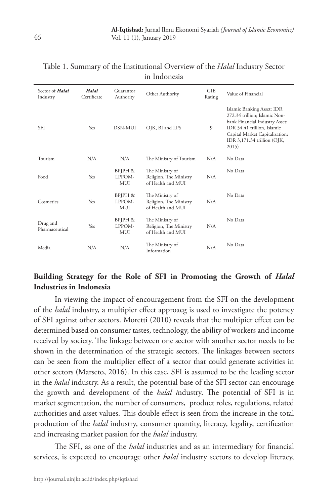| Sector of <i>Halal</i><br>Industry | <b>Halal</b><br>Certificate | Guarantor<br>Authority          | Other Authority                                                | <b>GIE</b><br>Rating | Value of Financial                                                                                                                                                                                     |
|------------------------------------|-----------------------------|---------------------------------|----------------------------------------------------------------|----------------------|--------------------------------------------------------------------------------------------------------------------------------------------------------------------------------------------------------|
| <b>SFI</b>                         | <b>Yes</b>                  | DSN-MUI                         | OJK, BI and LPS                                                | 9                    | Islamic Banking Asset: IDR<br>272.34 trillion; Islamic Non-<br>bank Financial Industry Asset:<br>IDR 54.41 trillion, Islamic<br>Capital Market Capitalization:<br>IDR 3,171.34 trillion (OJK,<br>2015) |
| Tourism                            | N/A                         | N/A                             | The Ministry of Tourism                                        | N/A                  | No Data                                                                                                                                                                                                |
| Food                               | <b>Yes</b>                  | BPIPH &<br>LPPOM-<br><b>MUI</b> | The Ministry of<br>Religion, The Ministry<br>of Health and MUI | N/A                  | No Data                                                                                                                                                                                                |
| Cosmetics                          | <b>Yes</b>                  | BPJPH &<br>LPPOM-<br>MUI        | The Ministry of<br>Religion, The Ministry<br>of Health and MUI | N/A                  | No Data                                                                                                                                                                                                |
| Drug and<br>Pharmaceutical         | <b>Yes</b>                  | BPJPH &<br>LPPOM-<br><b>MUI</b> | The Ministry of<br>Religion, The Ministry<br>of Health and MUI | N/A                  | No Data                                                                                                                                                                                                |
| Media                              | N/A                         | N/A                             | The Ministry of<br>Information                                 | N/A                  | No Data                                                                                                                                                                                                |

## Table 1. Summary of the Institutional Overview of the *Halal* Industry Sector in Indonesia

## **Building Strategy for the Role of SFI in Promoting the Growth of** *Halal* **Industries in Indonesia**

In viewing the impact of encouragement from the SFI on the development of the *halal* industry, a multipier effect approacg is used to investigate the potency of SFI against other sectors. Moretti (2010) reveals that the multipier effect can be determined based on consumer tastes, technology, the ability of workers and income received by society. The linkage between one sector with another sector needs to be shown in the determination of the strategic sectors. The linkages between sectors can be seen from the multiplier effect of a sector that could generate activities in other sectors (Marseto, 2016). In this case, SFI is assumed to be the leading sector in the *halal* industry. As a result, the potential base of the SFI sector can encourage the growth and development of the *halal i*ndustry. The potential of SFI is in market segmentation, the number of consumers, product roles, regulations, related authorities and asset values. This double effect is seen from the increase in the total production of the *halal* industry, consumer quantity, literacy, legality, certification and increasing market passion for the *halal* industry.

The SFI, as one of the *halal* industries and as an intermediary for financial services, is expected to encourage other *halal* industry sectors to develop literacy,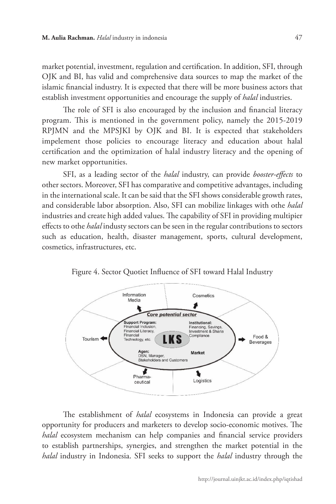market potential, investment, regulation and certification. In addition, SFI, through OJK and BI, has valid and comprehensive data sources to map the market of the islamic financial industry. It is expected that there will be more business actors that establish investment opportunities and encourage the supply of *halal* industries.

The role of SFI is also encouraged by the inclusion and financial literacy program. This is mentioned in the government policy, namely the 2015-2019 RPJMN and the MPSJKI by OJK and BI. It is expected that stakeholders impelement those policies to encourage literacy and education about halal certification and the optimization of halal industry literacy and the opening of new market opportunities.

SFI, as a leading sector of the *halal* industry, can provide *booster-effects* to other sectors. Moreover, SFI has comparative and competitive advantages, including in the international scale. It can be said that the SFI shows considerable growth rates, and considerable labor absorption. Also, SFI can mobilize linkages with othe *halal* industries and create high added values. The capability of SFI in providing multipier effects to othe *halal* industy sectors can be seen in the regular contributions to sectors such as education, health, disaster management, sports, cultural development, cosmetics, infrastructures, etc.

![](_page_12_Figure_4.jpeg)

Figure 4. Sector Quotiet Influence of SFI toward Halal Industry

The establishment of *halal* ecosystems in Indonesia can provide a great opportunity for producers and marketers to develop socio-economic motives. The *halal* ecosystem mechanism can help companies and financial service providers to establish partnerships, synergies, and strengthen the market potential in the *halal* industry in Indonesia. SFI seeks to support the *halal* industry through the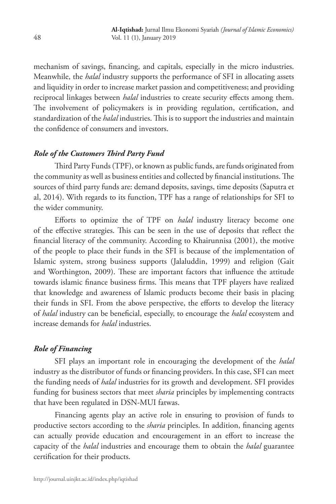mechanism of savings, financing, and capitals, especially in the micro industries. Meanwhile, the *halal* industry supports the performance of SFI in allocating assets and liquidity in order to increase market passion and competitiveness; and providing reciprocal linkages between *halal* industries to create security effects among them. The involvement of policymakers is in providing regulation, certification, and standardization of the *halal* industries. This is to support the industries and maintain the confidence of consumers and investors.

## *Role of the Customers Third Party Fund*

Third Party Funds (TPF), or known as public funds, are funds originated from the community as well as business entities and collected by financial institutions. The sources of third party funds are: demand deposits, savings, time deposits (Saputra et al, 2014). With regards to its function, TPF has a range of relationships for SFI to the wider community.

Efforts to optimize the of TPF on *halal* industry literacy become one of the effective strategies. This can be seen in the use of deposits that reflect the financial literacy of the community. According to Khairunnisa (2001), the motive of the people to place their funds in the SFI is because of the implementation of Islamic system, strong business supports (Jalaluddin, 1999) and religion (Gait and Worthington, 2009). These are important factors that influence the attitude towards islamic finance business firms. This means that TPF players have realized that knowledge and awareness of Islamic products become their basis in placing their funds in SFI. From the above perspective, the efforts to develop the literacy of *halal* industry can be beneficial, especially, to encourage the *halal* ecosystem and increase demands for *halal* industries.

## *Role of Financing*

SFI plays an important role in encouraging the development of the *halal* industry as the distributor of funds or financing providers. In this case, SFI can meet the funding needs of *halal* industries for its growth and development. SFI provides funding for business sectors that meet *sharia* principles by implementing contracts that have been regulated in DSN-MUI fatwas.

Financing agents play an active role in ensuring to provision of funds to productive sectors according to the *sharia* principles. In addition, financing agents can actually provide education and encouragement in an effort to increase the capacity of the *halal* industries and encourage them to obtain the *halal* guarantee certification for their products.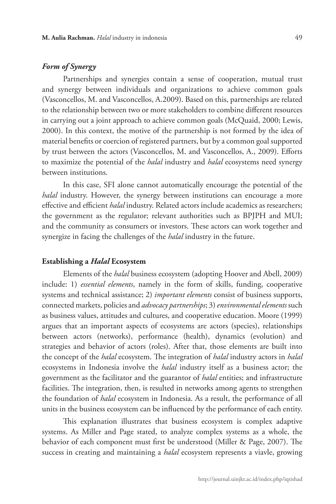## *Form of Synergy*

Partnerships and synergies contain a sense of cooperation, mutual trust and synergy between individuals and organizations to achieve common goals (Vasconcellos, M. and Vasconcellos, A.2009). Based on this, partnerships are related to the relationship between two or more stakeholders to combine different resources in carrying out a joint approach to achieve common goals (McQuaid, 2000; Lewis, 2000). In this context, the motive of the partnership is not formed by the idea of material benefits or coercion of registered partners, but by a common goal supported by trust between the actors (Vasconcellos, M. and Vasconcellos, A., 2009). Efforts to maximize the potential of the *halal* industry and *halal* ecosystems need synergy between institutions.

In this case, SFI alone cannot automatically encourage the potential of the *halal* industry. However, the synergy between institutions can encourage a more effective and efficient *halal* industry. Related actors include academics as researchers; the government as the regulator; relevant authorities such as BPJPH and MUI; and the community as consumers or investors. These actors can work together and synergize in facing the challenges of the *halal* industry in the future.

#### **Establishing a** *Halal* **Ecosystem**

Elements of the *halal* business ecosystem (adopting Hoover and Abell, 2009) include: 1) *essential elements*, namely in the form of skills, funding, cooperative systems and technical assistance; 2) *important elements* consist of business supports, connected markets, policies and *advocacy partnerships*; 3) *environmental elements* such as business values, attitudes and cultures, and cooperative education. Moore (1999) argues that an important aspects of ecosystems are actors (species), relationships between actors (networks), performance (health), dynamics (evolution) and strategies and behavior of actors (roles). After that, those elements are built into the concept of the *halal* ecosystem. The integration of *halal* industry actors in *halal* ecosystems in Indonesia involve the *halal* industry itself as a business actor; the government as the facilitator and the guarantor of *halal* entities; and infrastructure facilities. The integration, then, is resulted in networks among agents to strengthen the foundation of *halal* ecosystem in Indonesia. As a result, the performance of all units in the business ecosystem can be influenced by the performance of each entity.

This explanation illustrates that business ecosystem is complex adaptive systems. As Miller and Page stated, to analyze complex systems as a whole, the behavior of each component must first be understood (Miller & Page, 2007). The success in creating and maintaining a *halal* ecosystem represents a viavle, growing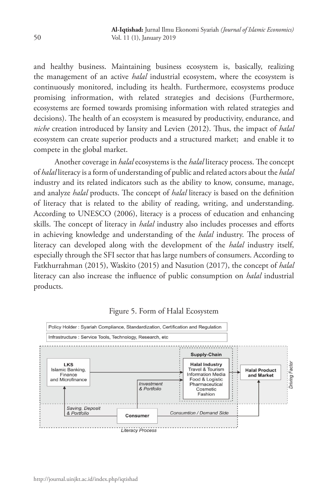and healthy business. Maintaining business ecosystem is, basically, realizing the management of an active *halal* industrial ecosystem, where the ecosystem is continuously monitored, including its health. Furthermore, ecosystems produce promising infrormation, with related strategies and decisions (Furthermore, ecosystems are formed towards promising information with related strategies and decisions). The health of an ecosystem is measured by productivity, endurance, and *niche* creation introduced by Iansity and Levien (2012). Thus, the impact of *halal*  ecosystem can create superior products and a structured market; and enable it to compete in the global market.

Another coverage in *halal* ecosystems is the *halal* literacy process. The concept of *halal* literacy is a form of understanding of public and related actors about the *halal* industry and its related indicators such as the ability to know, consume, manage, and analyze *halal* products. The concept of *halal* literacy is based on the definition of literacy that is related to the ability of reading, writing, and understanding. According to UNESCO (2006), literacy is a process of education and enhancing skills. The concept of literacy in *halal* industry also includes processes and efforts in achieving knowledge and understanding of the *halal* industry. The process of literacy can developed along with the development of the *halal* industry itself, especially through the SFI sector that has large numbers of consumers. According to Fatkhurrahman (2015), Waskito (2015) and Nasution (2017), the concept of *halal*  literacy can also increase the influence of public consumption on *halal* industrial products.

![](_page_15_Figure_3.jpeg)

Figure 5. Form of Halal Ecosystem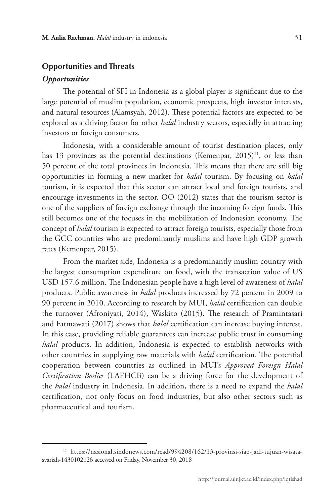### **Opportunities and Threats**

#### *Opportunities*

The potential of SFI in Indonesia as a global player is significant due to the large potential of muslim population, economic prospects, high investor interests, and natural resources (Alamsyah, 2012). These potential factors are expected to be explored as a driving factor for other *halal* industry sectors, especially in attracting investors or foreign consumers.

Indonesia, with a considerable amount of tourist destination places, only has 13 provinces as the potential destinations (Kemenpar,  $2015$ )<sup>11</sup>, or less than 50 percent of the total provinces in Indonesia. This means that there are still big opportunities in forming a new market for *halal* tourism. By focusing on *halal*  tourism, it is expected that this sector can attract local and foreign tourists, and encourage investments in the sector. OO (2012) states that the tourism sector is one of the suppliers of foreign exchange through the incoming foreign funds. This still becomes one of the focuses in the mobilization of Indonesian economy. The concept of *halal* tourism is expected to attract foreign tourists, especially those from the GCC countries who are predominantly muslims and have high GDP growth rates (Kemenpar, 2015).

From the market side, Indonesia is a predominantly muslim country with the largest consumption expenditure on food, with the transaction value of US USD 157.6 million. The Indonesian people have a high level of awareness of *halal* products. Public awareness in *halal* products increased by 72 percent in 2009 to 90 percent in 2010. According to research by MUI, *halal* certification can double the turnover (Afroniyati, 2014), Waskito (2015). The research of Pramintasari and Fatmawati (2017) shows that *halal* certification can increase buying interest. In this case, providing reliable guarantees can increase public trust in consuming *halal* products. In addition, Indonesia is expected to establish networks with other countries in supplying raw materials with *halal* certification. The potential cooperation between countries as outlined in MUI's *Approved Foreign Halal Certification Bodies* (LAFHCB) can be a driving force for the development of the *halal* industry in Indonesia. In addition, there is a need to expand the *halal*  certification, not only focus on food industries, but also other sectors such as pharmaceutical and tourism.

<sup>&</sup>lt;sup>11</sup> https://nasional.sindonews.com/read/994208/162/13-provinsi-siap-jadi-tujuan-wisatasyariah-1430102126 accessed on Friday, November 30, 2018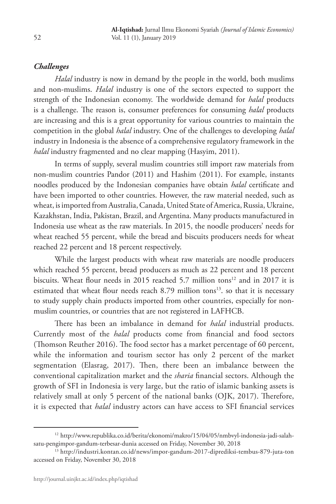## *Challenges*

*Halal* industry is now in demand by the people in the world, both muslims and non-muslims. *Halal* industry is one of the sectors expected to support the strength of the Indonesian economy. The worldwide demand for *halal* products is a challenge. The reason is, consumer preferences for consuming *halal* products are increasing and this is a great opportunity for various countries to maintain the competition in the global *halal* industry. One of the challenges to developing *halal* industry in Indonesia is the absence of a comprehensive regulatory framework in the *halal* industry fragmented and no clear mapping (Hasyim, 2011).

In terms of supply, several muslim countries still import raw materials from non-muslim countries Pandor (2011) and Hashim (2011). For example, instants noodles produced by the Indonesian companies have obtain *halal* certificate and have been imported to other countries. However, the raw material needed, such as wheat, is imported from Australia, Canada, United State of America, Russia, Ukraine, Kazakhstan, India, Pakistan, Brazil, and Argentina. Many products manufactured in Indonesia use wheat as the raw materials. In 2015, the noodle producers' needs for wheat reached 55 percent, while the bread and biscuits producers needs for wheat reached 22 percent and 18 percent respectively.

While the largest products with wheat raw materials are noodle producers which reached 55 percent, bread producers as much as 22 percent and 18 percent biscuits. Wheat flour needs in 2015 reached 5.7 million tons<sup>12</sup> and in 2017 it is estimated that wheat flour needs reach 8.79 million tons<sup>13</sup>, so that it is necessary to study supply chain products imported from other countries, especially for nonmuslim countries, or countries that are not registered in LAFHCB.

There has been an imbalance in demand for *halal* industrial products. Currently most of the *halal* products come from financial and food sectors (Thomson Reuther 2016). The food sector has a market percentage of 60 percent, while the information and tourism sector has only 2 percent of the market segmentation (Elasrag, 2017). Then, there been an imbalance between the conventional capitalization market and the *sharia* financial sectors. Although the growth of SFI in Indonesia is very large, but the ratio of islamic banking assets is relatively small at only 5 percent of the national banks (OJK, 2017). Therefore, it is expected that *halal* industry actors can have access to SFI financial services

<sup>12</sup> http://www.republika.co.id/berita/ekonomi/makro/15/04/05/nmbvyl-indonesia-jadi-salahsatu-pengimpor-gandum-terbesar-dunia accessed on Friday, November 30, 2018

<sup>13</sup> http://industri.kontan.co.id/news/impor-gandum-2017-diprediksi-tembus-879-juta-ton accessed on Friday, November 30, 2018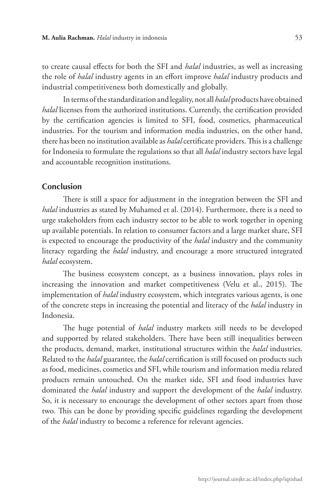to create causal effects for both the SFI and *halal* industries, as well as increasing the role of *halal* industry agents in an effort improve *halal* industry products and industrial competitiveness both domestically and globally.

In terms of the standardization and legality, not all *halal* products have obtained *halal* licenses from the authorized institutions. Currently, the certification provided by the certification agencies is limited to SFI, food, cosmetics, pharmaceutical industries. For the tourism and information media industries, on the other hand, there has been no institution available as *halal* certificate providers. This is a challenge for Indonesia to formulate the regulations so that all *halal* industry sectors have legal and accountable recognition institutions.

### **Conclusion**

There is still a space for adjustment in the integration between the SFI and *halal* industries as stated by Muhamed et al. (2014). Furthermore, there is a need to urge stakeholders from each industry sector to be able to work together in opening up available potentials. In relation to consumer factors and a large market share, SFI is expected to encourage the productivity of the *halal* industry and the community literacy regarding the *halal* industry, and encourage a more structured integrated *halal* ecosystem.

The business ecosystem concept, as a business innovation, plays roles in increasing the innovation and market competitiveness (Velu et al., 2015). The implementation of *halal* industry ecosystem, which integrates various agents, is one of the concrete steps in increasing the potential and literacy of the *halal* industry in Indonesia.

The huge potential of *halal* industry markets still needs to be developed and supported by related stakeholders. There have been still inequalities between the products, demand, market, institutional structures within the *halal* industries. Related to the *halal* guarantee, the *halal* certification is still focused on products such as food, medicines, cosmetics and SFI, while tourism and information media related products remain untouched. On the market side, SFI and food industries have dominated the *halal* industry and support the development of the *halal* industry. So, it is necessary to encourage the development of other sectors apart from those two. This can be done by providing specific guidelines regarding the development of the *halal* industry to become a reference for relevant agencies.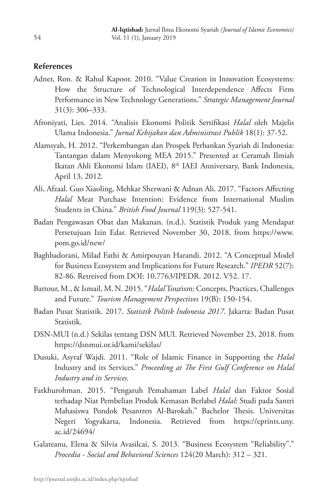## **References**

- Adner, Ron. & Rahul Kapoor. 2010. "Value Creation in Innovation Ecosystems: How the Structure of Technological Interdependence Affects Firm Performance in New Technology Generations." *Strategic Management Journal*  31(3): 306–333.
- Afroniyati, Lies. 2014. "Analisis Ekonomi Politik Sertifikasi *Halal* oleh Majelis Ulama Indonesia." *Jurnal Kebijakan dan Administrasi Publik* 18(1): 37-52.
- Alamsyah, H. 2012. "Perkembangan dan Prospek Perbankan Syariah di Indonesia: Tantangan dalam Menyokong MEA 2015." Presented at Ceramah Ilmiah Ikatan Ahli Ekonomi Islam (IAEI), 8<sup>th</sup> IAEI Anniversary, Bank Indonesia, April 13, 2012.
- Ali, Afzaal. Guo Xiaoling, Mehkar Sherwani & Adnan Ali. 2017. "Factors Affecting *Halal* Meat Purchase Intention: Evidence from International Muslim Students in China." *British Food Journal* 119(3): 527-541.
- Badan Pengawasan Obat dan Makanan. (n.d.). Statistik Produk yang Mendapat Persetujuan Izin Edar. Retrieved November 30, 2018. from https://www. pom.go.id/new/
- Baghbadorani, Milad Fathi & Amirpouyan Harandi. 2012. "A Conceptual Model for Business Ecosystem and Implications for Future Research." *IPEDR* 52(7): 82-86. Retreived from DOI: 10.7763/IPEDR. 2012. V52. 17.
- Battour, M., & Ismail, M. N. 2015. "*Halal* Tourism: Concepts, Practices, Challenges and Future." *Tourism Management Perspectives* 19(B): 150-154.
- Badan Pusat Statistik. 2017. *Statistik Politik Indonesia 2017*. Jakarta: Badan Pusat Statistik.
- DSN-MUI (n.d.) Sekilas tentang DSN MUI. Retrieved November 23, 2018. from https://dsnmui.or.id/kami/sekilas/
- Dusuki, Asyraf Wajdi. 2011. "Role of Islamic Finance in Supporting the *Halal*  Industry and its Services." *Proceeding at The First Gulf Conference on Halal Industry and its Services.*
- Fatkhurohman. 2015. "Pengaruh Pemahaman Label *Halal* dan Faktor Sosial terhadap Niat Pembelian Produk Kemasan Berlabel *Halal*: Studi pada Santri Mahasiswa Pondok Pesantren Al-Barokah." Bachelor Thesis. Universitas Negeri Yogyakarta, Indonesia. Retrieved from https://eprints.uny. ac.id/24694/
- Galateanu, Elena & Silvia Avasilcai, S. 2013. "Business Ecosystem "Reliability"." *Procedia - Social and Behavioral Sciences* 124(20 March): 312 – 321.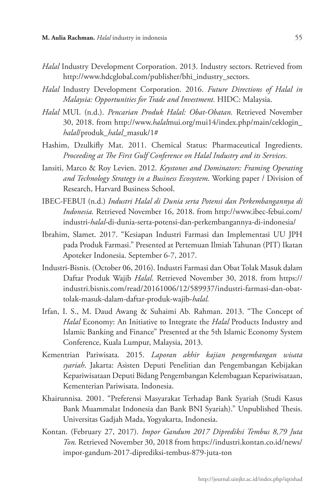- *Halal* Industry Development Corporation. 2013. Industry sectors. Retrieved from http://www.hdcglobal.com/publisher/bhi\_industry\_sectors.
- *Halal* Industry Development Corporation. 2016. *Future Directions of Halal in Malaysia: Opportunities for Trade and Investment.* HIDC: Malaysia.
- *Halal* MUI. (n.d.). *Pencarian Produk Halal: Obat-Obatan.* Retrieved November 30, 2018. from http://www.*halal*mui.org/mui14/index.php/main/ceklogin\_ *halal*/produk\_*halal*\_masuk/1#
- Hashim, Dzulkifly Mat. 2011. Chemical Status: Pharmaceutical Ingredients. *Proceeding at The First Gulf Conference on Halal Industry and its Services.*
- Iansiti, Marco & Roy Levien. 2012. *Keystones and Dominators: Framing Operating and Technology Strategy in a Business Ecosystem*. Working paper / Division of Research, Harvard Business School.
- IBEC-FEBUI (n.d.) *Industri Halal di Dunia serta Potensi dan Perkembangannya di Indonesia.* Retrieved November 16, 2018. from http://www.ibec-febui.com/ industri-*halal*-di-dunia-serta-potensi-dan-perkembangannya-di-indonesia/
- Ibrahim, Slamet. 2017. "Kesiapan Industri Farmasi dan Implementasi UU JPH pada Produk Farmasi." Presented at Pertemuan Ilmiah Tahunan (PIT) Ikatan Apoteker Indonesia. September 6-7, 2017.
- Industri-Bisnis. (October 06, 2016). Industri Farmasi dan Obat Tolak Masuk dalam Daftar Produk Wajib *Halal*. Retrieved November 30, 2018. from https:// industri.bisnis.com/read/20161006/12/589937/industri-farmasi-dan-obattolak-masuk-dalam-daftar-produk-wajib-*halal.*
- Irfan, I. S., M. Daud Awang & Suhaimi Ab. Rahman. 2013. "The Concept of *Halal* Economy: An Initiative to Integrate the *Halal* Products Industry and Islamic Banking and Finance" Presented at the 5th Islamic Economy System Conference, Kuala Lumpur, Malaysia, 2013.
- Kementrian Pariwisata. 2015. *Laporan akhir kajian pengembangan wisata syariah*. Jakarta: Asisten Deputi Penelitian dan Pengembangan Kebijakan Kepariwisataan Deputi Bidang Pengembangan Kelembagaan Kepariwisataan, Kementerian Pariwisata. Indonesia.
- Khairunnisa. 2001. "Preferensi Masyarakat Terhadap Bank Syariah (Studi Kasus Bank Muammalat Indonesia dan Bank BNI Syariah)." Unpublished Thesis. Universitas Gadjah Mada, Yogyakarta, Indonesia.
- Kontan. (February 27, 2017). *Impor Gandum 2017 Diprediksi Tembus 8,79 Juta Ton.* Retrieved November 30, 2018 from https://industri.kontan.co.id/news/ impor-gandum-2017-diprediksi-tembus-879-juta-ton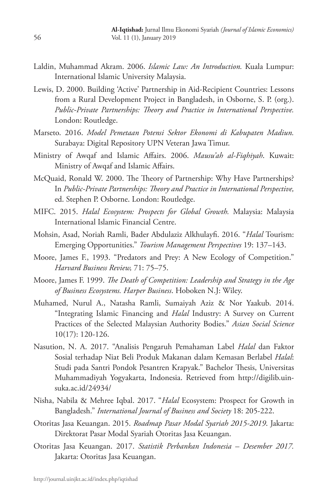- Laldin, Muhammad Akram. 2006. *Islamic Law: An Introduction.* Kuala Lumpur: International Islamic University Malaysia.
- Lewis, D. 2000. Building 'Active' Partnership in Aid-Recipient Countries: Lessons from a Rural Development Project in Bangladesh, in Osborne, S. P. (org.). *Public-Private Partnerships: Theory and Practice in International Perspective.* London: Routledge.
- Marseto. 2016. *Model Pemetaan Potensi Sektor Ekonomi di Kabupaten Madiun.*  Surabaya: Digital Repository UPN Veteran Jawa Timur.
- Ministry of Awqaf and Islamic Affairs. 2006. *Mausu'ah al-Fiqhiyah*. Kuwait: Ministry of Awqaf and Islamic Affairs.
- McQuaid, Ronald W. 2000. The Theory of Partnership: Why Have Partnerships? In *Public-Private Partnerships: Theory and Practice in International Perspective,* ed. Stephen P. Osborne. London: Routledge.
- MIFC. 2015. *Halal Ecosystem: Prospects for Global Growth.* Malaysia: Malaysia International Islamic Financial Centre.
- Mohsin, Asad, Noriah Ramli, Bader Abdulaziz Alkhulayfi. 2016. "*Halal* Tourism: Emerging Opportunities." *Tourism Management Perspectives* 19: 137–143.
- Moore, James F., 1993. "Predators and Prey: A New Ecology of Competition." *Harvard Business Review,* 71: 75–75.
- Moore, James F. 1999. *The Death of Competition: Leadership and Strategy in the Age of Business Ecosystems. Harper Business*. Hoboken N.J: Wiley.
- Muhamed, Nurul A., Natasha Ramli, Sumaiyah Aziz & Nor Yaakub. 2014. "Integrating Islamic Financing and *Halal* Industry: A Survey on Current Practices of the Selected Malaysian Authority Bodies." *Asian Social Science* 10(17): 120-126.
- Nasution, N. A. 2017. "Analisis Pengaruh Pemahaman Label *Halal* dan Faktor Sosial terhadap Niat Beli Produk Makanan dalam Kemasan Berlabel *Halal*: Studi pada Santri Pondok Pesantren Krapyak." Bachelor Thesis, Universitas Muhammadiyah Yogyakarta, Indonesia. Retrieved from http://digilib.uinsuka.ac.id/24934/
- Nisha, Nabila & Mehree Iqbal. 2017. "*Halal* Ecosystem: Prospect for Growth in Bangladesh." *International Journal of Business and Society* 18: 205-222.
- Otoritas Jasa Keuangan. 2015. *Roadmap Pasar Modal Syariah 2015-2019*. Jakarta: Direktorat Pasar Modal Syariah Otoritas Jasa Keuangan.
- Otoritas Jasa Keuangan. 2017. *Statistik Perbankan Indonesia – Desember 2017.* Jakarta: Otoritas Jasa Keuangan.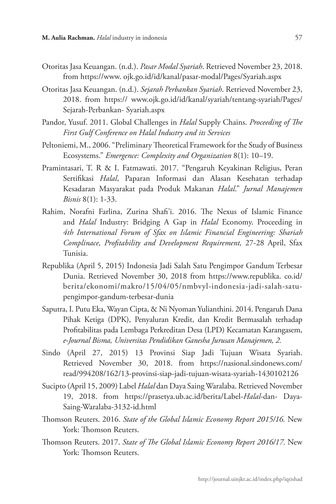- Otoritas Jasa Keuangan. (n.d.). *Pasar Modal Syariah*. Retrieved November 23, 2018. from https://www. ojk.go.id/id/kanal/pasar-modal/Pages/Syariah.aspx
- Otoritas Jasa Keuangan. (n.d.). *Sejarah Perbankan Syariah*. Retrieved November 23, 2018. from https:// www.ojk.go.id/id/kanal/syariah/tentang-syariah/Pages/ Sejarah-Perbankan- Syariah.aspx
- Pandor, Yusuf. 2011. Global Challenges in *Halal* Supply Chains. *Proceeding of The First Gulf Conference on Halal Industry and its Services*
- Peltoniemi, M., 2006. "Preliminary Theoretical Framework for the Study of Business Ecosystems." *Emergence: Complexity and Organization* 8(1): 10–19.
- Pramintasari, T. R & I. Fatmawati. 2017. "Pengaruh Keyakinan Religius, Peran Sertifikasi *Halal*, Paparan Informasi dan Alasan Kesehatan terhadap Kesadaran Masyarakat pada Produk Makanan *Halal*." *Jurnal Manajemen Bisnis* 8(1): 1-33.
- Rahim, Norafni Farlina, Zurina Shafi'i. 2016. The Nexus of Islamic Finance and *Halal* Industry: Bridging A Gap in *Halal* Economy. Proceeding in *4th International Forum of Sfax on Islamic Financial Engineering: Shariah Complinace, Profitability and Development Requirement,* 27-28 April, Sfax Tunisia.
- Republika (April 5, 2015) Indonesia Jadi Salah Satu Pengimpor Gandum Terbesar Dunia. Retrieved November 30, 2018 from https://www.republika. co.id/ berita/ekonomi/makro/15/04/05/nmbvyl-indonesia-jadi-salah-satupengimpor-gandum-terbesar-dunia
- Saputra, I. Putu Eka, Wayan Cipta, & Ni Nyoman Yulianthini. 2014. Pengaruh Dana Pihak Ketiga (DPK), Penyaluran Kredit, dan Kredit Bermasalah terhadap Profitabilitas pada Lembaga Perkreditan Desa (LPD) Kecamatan Karangasem, *e-Journal Bisma, Universitas Pendidikan Ganesha Jurusan Manajemen, 2.*
- Sindo (April 27, 2015) 13 Provinsi Siap Jadi Tujuan Wisata Syariah. Retrieved November 30, 2018. from https://nasional.sindonews.com/ read/994208/162/13-provinsi-siap-jadi-tujuan-wisata-syariah-1430102126
- Sucipto (April 15, 2009) Label *Halal* dan Daya Saing Waralaba. Retrieved November 19, 2018. from https://prasetya.ub.ac.id/berita/Label-*Halal*-dan- Daya-Saing-Waralaba-3132-id.html
- Thomson Reuters. 2016. *State of the Global Islamic Economy Report 2015/16.* New York: Thomson Reuters.
- Thomson Reuters. 2017. *State of The Global Islamic Economy Report 2016/17.* New York: Thomson Reuters.